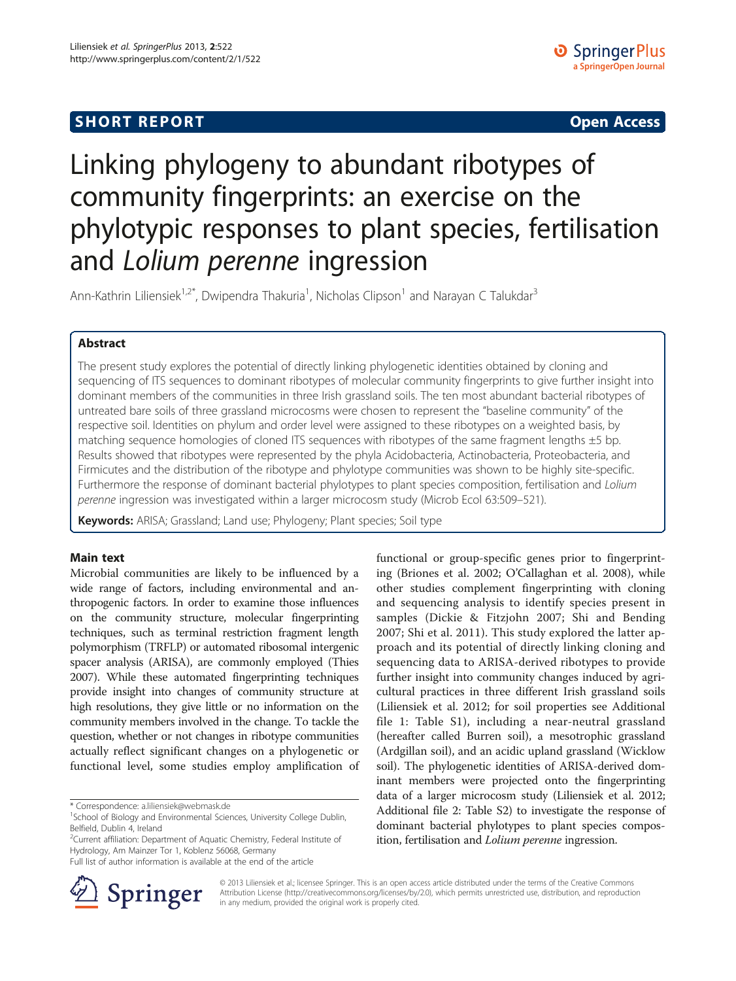## **SHORT REPORT CONTRACT CONTRACT CONTRACT CONTRACT CONTRACT CONTRACT CONTRACT CONTRACT CONTRACT CONTRACT CONTRACT CONTRACT CONTRACT CONTRACT CONTRACT CONTRACT CONTRACT CONTRACT CONTRACT CONTRACT CONTRACT CONTRACT CONTRACT C**

# Linking phylogeny to abundant ribotypes of community fingerprints: an exercise on the phylotypic responses to plant species, fertilisation and Lolium perenne ingression

Ann-Kathrin Liliensiek<sup>1,2\*</sup>, Dwipendra Thakuria<sup>1</sup>, Nicholas Clipson<sup>1</sup> and Narayan C Talukdar<sup>3</sup>

## Abstract

The present study explores the potential of directly linking phylogenetic identities obtained by cloning and sequencing of ITS sequences to dominant ribotypes of molecular community fingerprints to give further insight into dominant members of the communities in three Irish grassland soils. The ten most abundant bacterial ribotypes of untreated bare soils of three grassland microcosms were chosen to represent the "baseline community" of the respective soil. Identities on phylum and order level were assigned to these ribotypes on a weighted basis, by matching sequence homologies of cloned ITS sequences with ribotypes of the same fragment lengths  $\pm 5$  bp. Results showed that ribotypes were represented by the phyla Acidobacteria, Actinobacteria, Proteobacteria, and Firmicutes and the distribution of the ribotype and phylotype communities was shown to be highly site-specific. Furthermore the response of dominant bacterial phylotypes to plant species composition, fertilisation and Lolium perenne ingression was investigated within a larger microcosm study (Microb Ecol 63:509–521).

Keywords: ARISA; Grassland; Land use; Phylogeny; Plant species; Soil type

### Main text

Microbial communities are likely to be influenced by a wide range of factors, including environmental and anthropogenic factors. In order to examine those influences on the community structure, molecular fingerprinting techniques, such as terminal restriction fragment length polymorphism (TRFLP) or automated ribosomal intergenic spacer analysis (ARISA), are commonly employed (Thies [2007\)](#page-4-0). While these automated fingerprinting techniques provide insight into changes of community structure at high resolutions, they give little or no information on the community members involved in the change. To tackle the question, whether or not changes in ribotype communities actually reflect significant changes on a phylogenetic or functional level, some studies employ amplification of

\* Correspondence: [a.liliensiek@webmask.de](mailto:a.liliensiek@webmask.de) <sup>1</sup>

<sup>2</sup>Current affiliation: Department of Aquatic Chemistry, Federal Institute of Hydrology, Am Mainzer Tor 1, Koblenz 56068, Germany

functional or group-specific genes prior to fingerprinting (Briones et al. [2002](#page-4-0); O'Callaghan et al. [2008\)](#page-4-0), while other studies complement fingerprinting with cloning and sequencing analysis to identify species present in samples (Dickie & Fitzjohn [2007;](#page-4-0) Shi and Bending [2007](#page-4-0); Shi et al. [2011](#page-4-0)). This study explored the latter approach and its potential of directly linking cloning and sequencing data to ARISA-derived ribotypes to provide further insight into community changes induced by agricultural practices in three different Irish grassland soils (Liliensiek et al. [2012](#page-4-0); for soil properties see Additional file [1](#page-4-0): Table S1), including a near-neutral grassland (hereafter called Burren soil), a mesotrophic grassland (Ardgillan soil), and an acidic upland grassland (Wicklow soil). The phylogenetic identities of ARISA-derived dominant members were projected onto the fingerprinting data of a larger microcosm study (Liliensiek et al. [2012](#page-4-0); Additional file [2](#page-4-0): Table S2) to investigate the response of dominant bacterial phylotypes to plant species composition, fertilisation and Lolium perenne ingression.



© 2013 Liliensiek et al.; licensee Springer. This is an open access article distributed under the terms of the Creative Commons Attribution License [\(http://creativecommons.org/licenses/by/2.0\)](http://creativecommons.org/licenses/by/2.0), which permits unrestricted use, distribution, and reproduction in any medium, provided the original work is properly cited.

<sup>&</sup>lt;sup>1</sup>School of Biology and Environmental Sciences, University College Dublin, Belfield, Dublin 4, Ireland

Full list of author information is available at the end of the article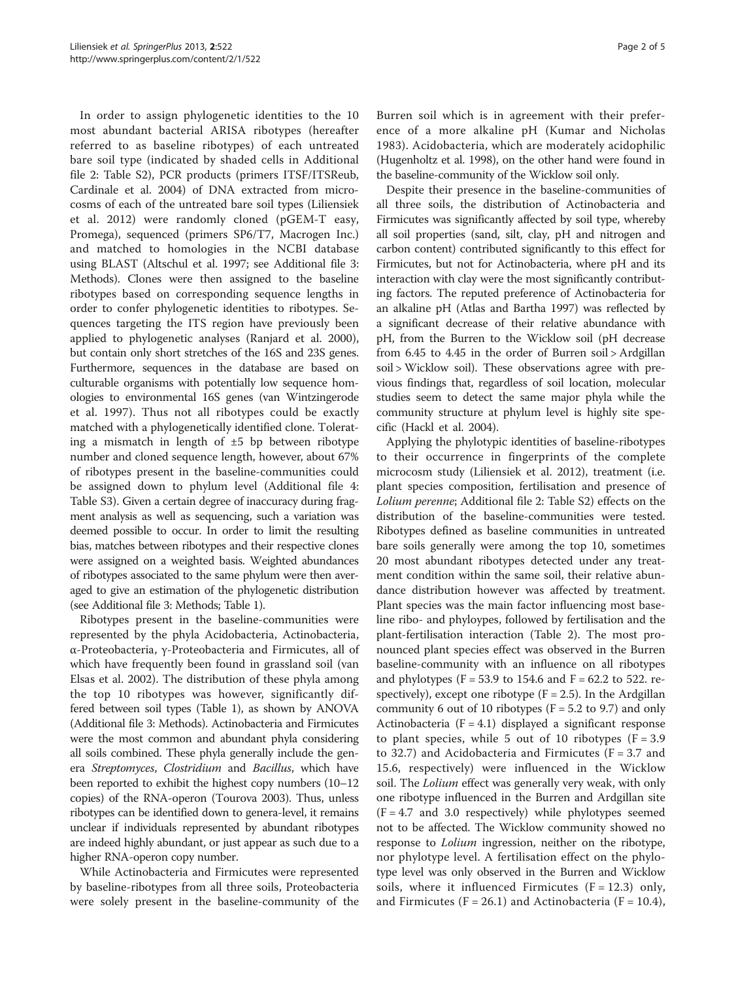In order to assign phylogenetic identities to the 10 most abundant bacterial ARISA ribotypes (hereafter referred to as baseline ribotypes) of each untreated bare soil type (indicated by shaded cells in Additional file [2:](#page-4-0) Table S2), PCR products (primers ITSF/ITSReub, Cardinale et al. [2004](#page-4-0)) of DNA extracted from microcosms of each of the untreated bare soil types (Liliensiek et al. [2012\)](#page-4-0) were randomly cloned (pGEM-T easy, Promega), sequenced (primers SP6/T7, Macrogen Inc.) and matched to homologies in the NCBI database using BLAST (Altschul et al. [1997](#page-4-0); see Additional file [3](#page-4-0): Methods). Clones were then assigned to the baseline ribotypes based on corresponding sequence lengths in order to confer phylogenetic identities to ribotypes. Sequences targeting the ITS region have previously been applied to phylogenetic analyses (Ranjard et al. [2000](#page-4-0)), but contain only short stretches of the 16S and 23S genes. Furthermore, sequences in the database are based on culturable organisms with potentially low sequence homologies to environmental 16S genes (van Wintzingerode et al. [1997](#page-4-0)). Thus not all ribotypes could be exactly matched with a phylogenetically identified clone. Tolerating a mismatch in length of ±5 bp between ribotype number and cloned sequence length, however, about 67% of ribotypes present in the baseline-communities could be assigned down to phylum level (Additional file [4](#page-4-0): Table S3). Given a certain degree of inaccuracy during fragment analysis as well as sequencing, such a variation was deemed possible to occur. In order to limit the resulting bias, matches between ribotypes and their respective clones were assigned on a weighted basis. Weighted abundances of ribotypes associated to the same phylum were then averaged to give an estimation of the phylogenetic distribution (see Additional file [3](#page-4-0): Methods; Table [1\)](#page-2-0).

Ribotypes present in the baseline-communities were represented by the phyla Acidobacteria, Actinobacteria, α-Proteobacteria, γ-Proteobacteria and Firmicutes, all of which have frequently been found in grassland soil (van Elsas et al. [2002\)](#page-4-0). The distribution of these phyla among the top 10 ribotypes was however, significantly differed between soil types (Table [1](#page-2-0)), as shown by ANOVA (Additional file [3](#page-4-0): Methods). Actinobacteria and Firmicutes were the most common and abundant phyla considering all soils combined. These phyla generally include the genera Streptomyces, Clostridium and Bacillus, which have been reported to exhibit the highest copy numbers (10–12 copies) of the RNA-operon (Tourova [2003\)](#page-4-0). Thus, unless ribotypes can be identified down to genera-level, it remains unclear if individuals represented by abundant ribotypes are indeed highly abundant, or just appear as such due to a higher RNA-operon copy number.

While Actinobacteria and Firmicutes were represented by baseline-ribotypes from all three soils, Proteobacteria were solely present in the baseline-community of the Burren soil which is in agreement with their preference of a more alkaline pH (Kumar and Nicholas [1983](#page-4-0)). Acidobacteria, which are moderately acidophilic (Hugenholtz et al. [1998](#page-4-0)), on the other hand were found in the baseline-community of the Wicklow soil only.

Despite their presence in the baseline-communities of all three soils, the distribution of Actinobacteria and Firmicutes was significantly affected by soil type, whereby all soil properties (sand, silt, clay, pH and nitrogen and carbon content) contributed significantly to this effect for Firmicutes, but not for Actinobacteria, where pH and its interaction with clay were the most significantly contributing factors. The reputed preference of Actinobacteria for an alkaline pH (Atlas and Bartha [1997\)](#page-4-0) was reflected by a significant decrease of their relative abundance with pH, from the Burren to the Wicklow soil (pH decrease from 6.45 to 4.45 in the order of Burren soil > Ardgillan soil > Wicklow soil). These observations agree with previous findings that, regardless of soil location, molecular studies seem to detect the same major phyla while the community structure at phylum level is highly site specific (Hackl et al. [2004](#page-4-0)).

Applying the phylotypic identities of baseline-ribotypes to their occurrence in fingerprints of the complete microcosm study (Liliensiek et al. [2012\)](#page-4-0), treatment (i.e. plant species composition, fertilisation and presence of Lolium perenne; Additional file [2](#page-4-0): Table S2) effects on the distribution of the baseline-communities were tested. Ribotypes defined as baseline communities in untreated bare soils generally were among the top 10, sometimes 20 most abundant ribotypes detected under any treatment condition within the same soil, their relative abundance distribution however was affected by treatment. Plant species was the main factor influencing most baseline ribo- and phyloypes, followed by fertilisation and the plant-fertilisation interaction (Table [2](#page-3-0)). The most pronounced plant species effect was observed in the Burren baseline-community with an influence on all ribotypes and phylotypes ( $F = 53.9$  to 154.6 and  $F = 62.2$  to 522. respectively), except one ribotype  $(F = 2.5)$ . In the Ardgillan community 6 out of 10 ribotypes ( $F = 5.2$  to 9.7) and only Actinobacteria  $(F = 4.1)$  displayed a significant response to plant species, while 5 out of 10 ribotypes  $(F = 3.9)$ to 32.7) and Acidobacteria and Firmicutes ( $F = 3.7$  and 15.6, respectively) were influenced in the Wicklow soil. The *Lolium* effect was generally very weak, with only one ribotype influenced in the Burren and Ardgillan site  $(F = 4.7 \text{ and } 3.0 \text{ respectively})$  while phylotypes seemed not to be affected. The Wicklow community showed no response to *Lolium* ingression, neither on the ribotype, nor phylotype level. A fertilisation effect on the phylotype level was only observed in the Burren and Wicklow soils, where it influenced Firmicutes  $(F = 12.3)$  only, and Firmicutes ( $F = 26.1$ ) and Actinobacteria ( $F = 10.4$ ),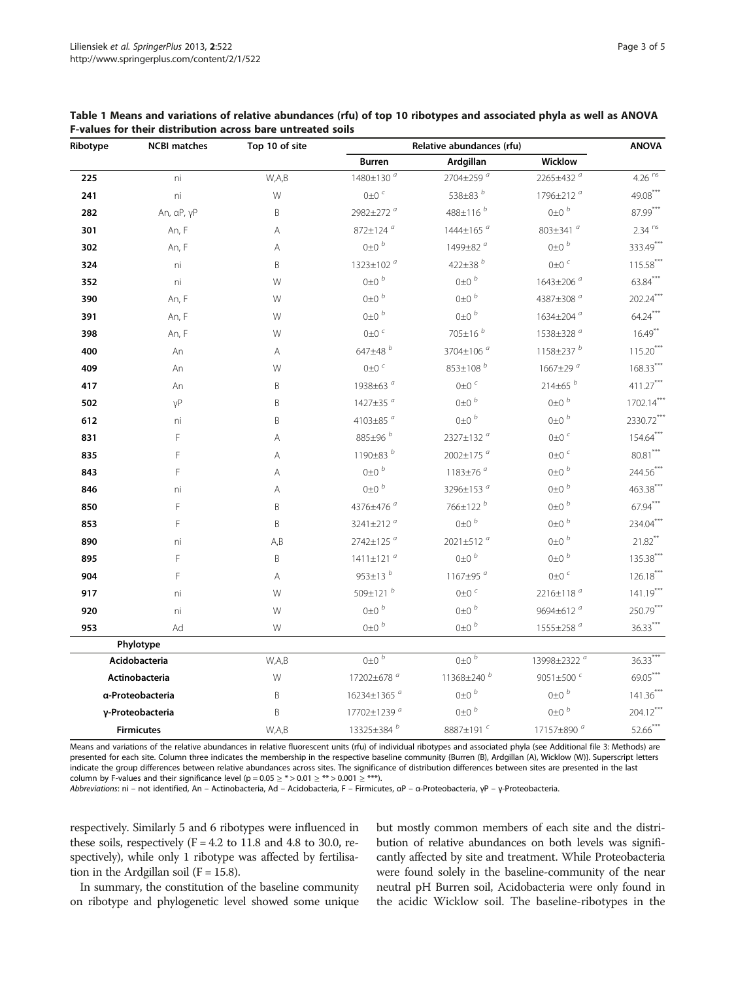| Ribotype       | <b>NCBI matches</b> | Top 10 of site | Relative abundances (rfu) | <b>ANOVA</b>                                        |                          |                             |
|----------------|---------------------|----------------|---------------------------|-----------------------------------------------------|--------------------------|-----------------------------|
|                |                     |                | <b>Burren</b>             | Ardgillan                                           | Wicklow                  |                             |
| 225            | ni                  | W,A,B          | 1480±130 <sup>a</sup>     | 2704±259 <sup>a</sup>                               | 2265±432 <sup>a</sup>    | $4.26 \overline{\text{ns}}$ |
| 241            | ni                  | W              | $0\pm0$ $^c$              | 538 $\pm$ 83 $^b$<br>1796±212 <sup>a</sup>          |                          | $49.08***$                  |
| 282            | An, aP, yP          | B              | 2982±272 <sup>a</sup>     | $0\pm0$ $^b$<br>488±116 <sup>b</sup>                |                          | $87.99***$                  |
| 301            | An, F               | Α              | 872±124 <sup>a</sup>      | 803±341 <sup>a</sup><br>$1444 \pm 165$ <sup>a</sup> |                          | $2.34$ <sup>ns</sup>        |
| 302            | An, F               | Α              | $0\pm0~^b$                | 1499±82 <sup>a</sup>                                | $0\pm0$ $^b$             | 333.49***                   |
| 324            | ni                  | B              | 1323±102 <sup>a</sup>     | 422±38 $^{b}$                                       | $0\pm0$ <sup>c</sup>     | $115.58***$                 |
| 352            | ni                  | W              | $0\pm0$ $^b$              | $0\pm0$ $^b$                                        | 1643±206 <sup>a</sup>    | $63.84***$                  |
| 390            | An, F               | W              | $0\pm0^{b}$               | $0\pm0~^b$                                          | 4387±308 <sup>a</sup>    | $202.24***$                 |
| 391            | An, F               | W              | $0\pm0~^b$                | $0\pm0$ $^b$<br>$1634 \pm 204$ <sup>a</sup>         |                          | $64.24***$                  |
| 398            | An, F               | W              | $0\pm0$ $^c$              | 705±16 <sup>b</sup><br>1538±328 <sup>a</sup>        |                          | $16.49***$                  |
| 400            | An                  | Α              | 647 $\pm$ 48 $^b$         | 3704±106 <sup>a</sup>                               | 1158±237 $^b$            | $115.20***$                 |
| 409            | An                  | W              | $0\pm0$ <sup>c</sup>      | 853±108 <sup>b</sup>                                | 1667±29 $a$              | $168.33***$                 |
| 417            | An                  | Β              | 1938±63 <sup>ª</sup>      | $0\pm0$ $^c$                                        | $214\pm 65$ <sup>b</sup> | 411.27***                   |
| 502            | γP                  | B              | 1427±35 <sup>a</sup>      | $0\pm0$ $^b$<br>$0\pm0~^b$                          |                          | $1702.14***$                |
| 612            | ni                  | B              | 4103±85 <sup>a</sup>      | $0\pm0$ $^b$<br>$0\pm0~^b$                          |                          | 2330.72**                   |
| 831            | F                   | Α              | 885±96 <sup>b</sup>       | 2327±132 <sup>a</sup><br>$0\pm0$ <sup>c</sup>       |                          | $154.64***$                 |
| 835            | F                   | Α              | 1190 $\pm$ 83 $^b$        | 2002±175 <sup>a</sup>                               | $0\pm0$ $^c$             |                             |
| 843            | F                   | Α              | $0\pm0$ $^b$              | 1183 $\pm$ 76 $a$                                   | $0\pm0$ $^b$             | 244.56**                    |
| 846            | ni                  | Α              | $0\pm0$ $^b$              | 3296±153 <sup>a</sup>                               | $0\pm0$ $^b$             | 463.38***                   |
| 850            | F                   | B              | 4376±476 <sup>ª</sup>     | 766±122 <sup>b</sup>                                | $0\pm0$ $^b$             | $67.94***$                  |
| 853            | F                   | B              | 3241±212 $a$              | $0\pm0$ $^b$                                        | $0\pm0$ $^b$             | 234.04***                   |
| 890            | ni                  | A, B           | 2742±125 <sup>a</sup>     | 2021±512 <sup>a</sup>                               | $0\pm0$ b                | $21.82$ **                  |
| 895            | F                   | B              | 1411±121 <sup>a</sup>     | $0\pm0~^b$                                          | $0\pm0$ $^b$             | $135.38***$                 |
| 904            | F                   | Α              | 953±13 $^{b}$             | 1167 $\pm$ 95 $a$<br>$0\pm0$ <sup>c</sup>           |                          | $126.18***$                 |
| 917            | ni                  | W              | 509±121 <sup>b</sup>      | $0\pm0$ $\epsilon$<br>2216±118 <sup>ª</sup>         |                          | $141.19***$                 |
| 920            | ni                  | W              | $0\pm0$ $^b$              | $0\pm0~^b$<br>9694±612 <sup>ª</sup>                 |                          | 250.79**                    |
| 953            | Ad                  | W              | $0\pm0$ b                 | $0\pm0~^b$                                          | 1555±258 <sup>a</sup>    | $36.33***$                  |
|                | Phylotype           |                |                           |                                                     |                          |                             |
|                | Acidobacteria       | W,A,B          | $0\pm0^{-b}$              | $0\pm0^{-b}$<br>13998±2322 <sup>a</sup>             |                          | $36.33***$                  |
| Actinobacteria |                     | W              | 17202±678 <sup>a</sup>    | 11368±240 <sup>b</sup><br>9051±500 <sup>c</sup>     |                          | $69.05***$                  |
|                | α-Proteobacteria    | B              | 16234±1365 <sup>a</sup>   | $0\pm0~^b$<br>$0\pm0$ $^b$                          |                          | $141.36***$                 |
|                | γ-Proteobacteria    | B              | 17702±1239 <sup>a</sup>   | $0+0^{b}$                                           | $0\pm0~^b$               | $204.12***$                 |
|                | <b>Firmicutes</b>   | W,A,B          | 13325±384 <sup>b</sup>    | 8887±191 <sup>c</sup>                               | 17157±890 <sup>a</sup>   | 52.66***                    |

<span id="page-2-0"></span>Table 1 Means and variations of relative abundances (rfu) of top 10 ribotypes and associated phyla as well as ANOVA F-values for their distribution across bare untreated soils

Means and variations of the relative abundances in relative fluorescent units (rfu) of individual ribotypes and associated phyla (see Additional file [3:](#page-4-0) Metho presented for each site. Column three indicates the membership in the respective baseline community {Burren (B), Ardgillan (A), Wicklow (W)}. Superscript letters indicate the group differences between relative abundances across sites. The significance of distribution differences between sites are presented in the last column by F-values and their significance level (p =  $0.05 \geq$  \* >  $0.01 \geq$  \*\* >  $0.001 \geq$  \*\*\*).

Abbreviations: ni – not identified, An – Actinobacteria, Ad – Acidobacteria, F – Firmicutes, <sup>α</sup><sup>P</sup> – <sup>α</sup>-Proteobacteria, <sup>γ</sup><sup>P</sup> – <sup>γ</sup>-Proteobacteria.

respectively. Similarly 5 and 6 ribotypes were influenced in these soils, respectively  $(F = 4.2$  to 11.8 and 4.8 to 30.0, respectively), while only 1 ribotype was affected by fertilisation in the Ardgillan soil ( $F = 15.8$ ).

In summary, the constitution of the baseline community on ribotype and phylogenetic level showed some unique but mostly common members of each site and the distribution of relative abundances on both levels was significantly affected by site and treatment. While Proteobacteria were found solely in the baseline-community of the near neutral pH Burren soil, Acidobacteria were only found in the acidic Wicklow soil. The baseline-ribotypes in the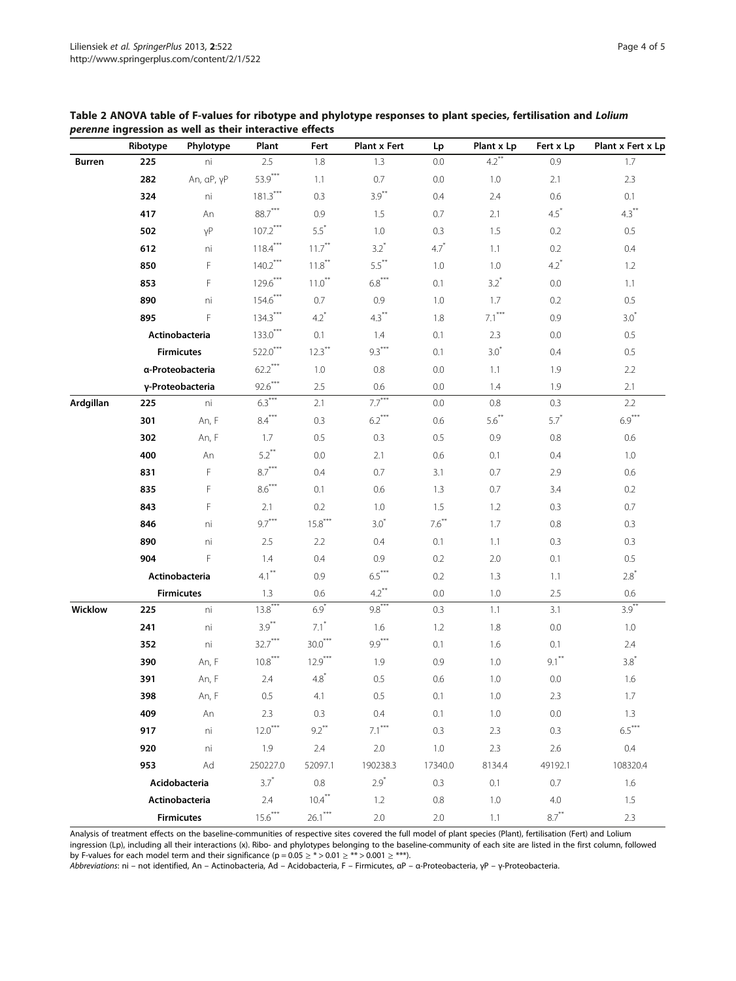<span id="page-3-0"></span>

| Table 2 ANOVA table of F-values for ribotype and phylotype responses to plant species, fertilisation and Lolium |  |  |
|-----------------------------------------------------------------------------------------------------------------|--|--|
| <i>perenne</i> ingression as well as their interactive effects                                                  |  |  |

|           | Ribotype          | Phylotype         | Plant      | Fert      | <b>Plant x Fert</b> | Lp       | Plant x Lp          | Fert x Lp | Plant x Fert x Lp |
|-----------|-------------------|-------------------|------------|-----------|---------------------|----------|---------------------|-----------|-------------------|
| Burren    | 225               | ni                | 2.5        | 1.8       | 1.3                 | 0.0      | $4.2$ <sup>**</sup> | 0.9       | 1.7               |
|           | 282               | An, aP, yP        | $53.9***$  | 1.1       | 0.7                 | 0.0      | 1.0                 | 2.1       | 2.3               |
|           | 324               | ni                | $181.3***$ | 0.3       | $3.9***$            | 0.4      | 2.4                 | 0.6       | 0.1               |
|           | 417               | An                | $88.7***$  | 0.9       | 1.5                 | 0.7      | 2.1                 | $4.5^*$   | $4.3***$          |
|           | 502               | γP                | $107.2***$ | $5.5*$    | 1.0                 | 0.3      | 1.5                 | 0.2       | 0.5               |
|           | 612               | ni                | $118.4***$ | $11.7***$ | $3.2^*$             | $4.7*$   | 1.1                 | 0.2       | 0.4               |
|           | 850               | F                 | $140.2***$ | $11.8***$ | $5.5***$            | 1.0      | 1.0                 | $4.2^*$   | 1.2               |
|           | 853               | F                 | $129.6***$ | $11.0***$ | $6.8***$            | 0.1      | $3.2*$              | 0.0       | 1.1               |
|           | 890               | ni                | $154.6***$ | 0.7       | 0.9                 | 1.0      | 1.7                 | 0.2       | 0.5               |
|           | 895               | F                 | $134.3***$ | $4.2^*$   | $4.3***$            | 1.8      | $7.1***$            | 0.9       | $3.0*$            |
|           |                   | Actinobacteria    | $133.0***$ | 0.1       | 1.4                 | 0.1      | 2.3                 | 0.0       | 0.5               |
|           |                   | <b>Firmicutes</b> | $522.0***$ | $12.3***$ | $9.3***$            | 0.1      | $3.0*$              | 0.4       | $0.5\,$           |
|           |                   | a-Proteobacteria  | $62.2***$  | $1.0\,$   | 0.8                 | 0.0      | 1.1                 | 1.9       | 2.2               |
|           |                   | γ-Proteobacteria  | $92.6***$  | 2.5       | 0.6                 | 0.0      | 1.4                 | 1.9       | 2.1               |
| Ardgillan | 225               | ni                | $6.3***$   | 2.1       | $7.7***$            | 0.0      | 0.8                 | 0.3       | 2.2               |
|           | 301               | An, F             | $8.4***$   | 0.3       | $6.2***$            | 0.6      | $5.6***$            | $5.7^*$   | $6.9***$          |
|           | 302               | An, F             | 1.7        | $0.5\,$   | $0.3\,$             | 0.5      | 0.9                 | $0.8\,$   | 0.6               |
|           | 400               | An                | $5.2***$   | 0.0       | 2.1                 | 0.6      | 0.1                 | 0.4       | 1.0               |
|           | 831               | F                 | $8.7***$   | 0.4       | 0.7                 | 3.1      | 0.7                 | 2.9       | 0.6               |
|           | 835               | F                 | $8.6***$   | 0.1       | 0.6                 | 1.3      | 0.7                 | 3.4       | 0.2               |
|           | 843               | F                 | 2.1        | 0.2       | 1.0                 | 1.5      | 1.2                 | 0.3       | 0.7               |
|           | 846               | ni                | $9.7***$   | $15.8***$ | $3.0*$              | $7.6***$ | 1.7                 | 0.8       | 0.3               |
|           | 890               | ni                | $2.5\,$    | 2.2       | 0.4                 | 0.1      | 1.1                 | 0.3       | 0.3               |
|           | 904               | F                 | 1.4        | 0.4       | $0.9\,$             | 0.2      | 2.0                 | 0.1       | $0.5\,$           |
|           | Actinobacteria    |                   | $4.1***$   | 0.9       | $6.5***$            | 0.2      | 1.3                 | 1.1       | $2.8^*$           |
|           |                   | <b>Firmicutes</b> | 1.3        | 0.6       | $4.2***$            | 0.0      | 1.0                 | 2.5       | 0.6               |
| Wicklow   | 225               | ni                | $13.8***$  | $6.9*$    | $9.8***$            | 0.3      | 1.1                 | 3.1       | $3.9***$          |
|           | 241               | ni                | $3.9***$   | $7.1^*$   | 1.6                 | 1.2      | 1.8                 | 0.0       | 1.0               |
|           | 352               | ni                | $32.7***$  | $30.0***$ | $9.9***$            | 0.1      | 1.6                 | 0.1       | 2.4               |
|           | 390               | An, F             | $10.8***$  | $12.9***$ | 1.9                 | 0.9      | 1.0                 | $9.1***$  | $3.8*$            |
|           | 391               | An, F             | $2.4\,$    | $4.8^*$   | 0.5                 | 0.6      | 1.0                 | 0.0       | 1.6               |
|           | 398               | An, F             | 0.5        | 4.1       | 0.5                 | 0.1      | 1.0                 | 2.3       | 1.7               |
|           | 409               | An                | 2.3        | 0.3       | 0.4                 | 0.1      | 1.0                 | $0.0\,$   | 1.3               |
|           | 917               | ni                | $12.0***$  | $9.2***$  | $7.1***$            | 0.3      | 2.3                 | 0.3       | $6.5***$          |
|           | 920               | ni                | 1.9        | 2.4       | $2.0\,$             | 1.0      | 2.3                 | 2.6       | 0.4               |
|           | 953               | Ad                | 250227.0   | 52097.1   | 190238.3            | 17340.0  | 8134.4              | 49192.1   | 108320.4          |
|           | Acidobacteria     |                   | $3.7^{*}$  | 0.8       | $2.9*$              | 0.3      | 0.1                 | 0.7       | 1.6               |
|           | Actinobacteria    |                   | 2.4        | $10.4***$ | 1.2                 | 0.8      | 1.0                 | 4.0       | 1.5               |
|           | <b>Firmicutes</b> |                   | $15.6***$  | $26.1***$ | $2.0\,$             | $2.0\,$  | 1.1                 | $8.7***$  | 2.3               |

Analysis of treatment effects on the baseline-communities of respective sites covered the full model of plant species (Plant), fertilisation (Fert) and Lolium ingression (Lp), including all their interactions (x). Ribo- and phylotypes belonging to the baseline-community of each site are listed in the first column, followed

by F-values for each model term and their significance ( $p = 0.05 \geq$  \*> $0.01 \geq$  \*\*> $0.001 \geq$  \*\*\*).

Abbreviations: ni – not identified, An – Actinobacteria, Ad – Acidobacteria, F – Firmicutes, <sup>α</sup><sup>P</sup> – <sup>α</sup>-Proteobacteria, <sup>γ</sup><sup>P</sup> – <sup>γ</sup>-Proteobacteria.